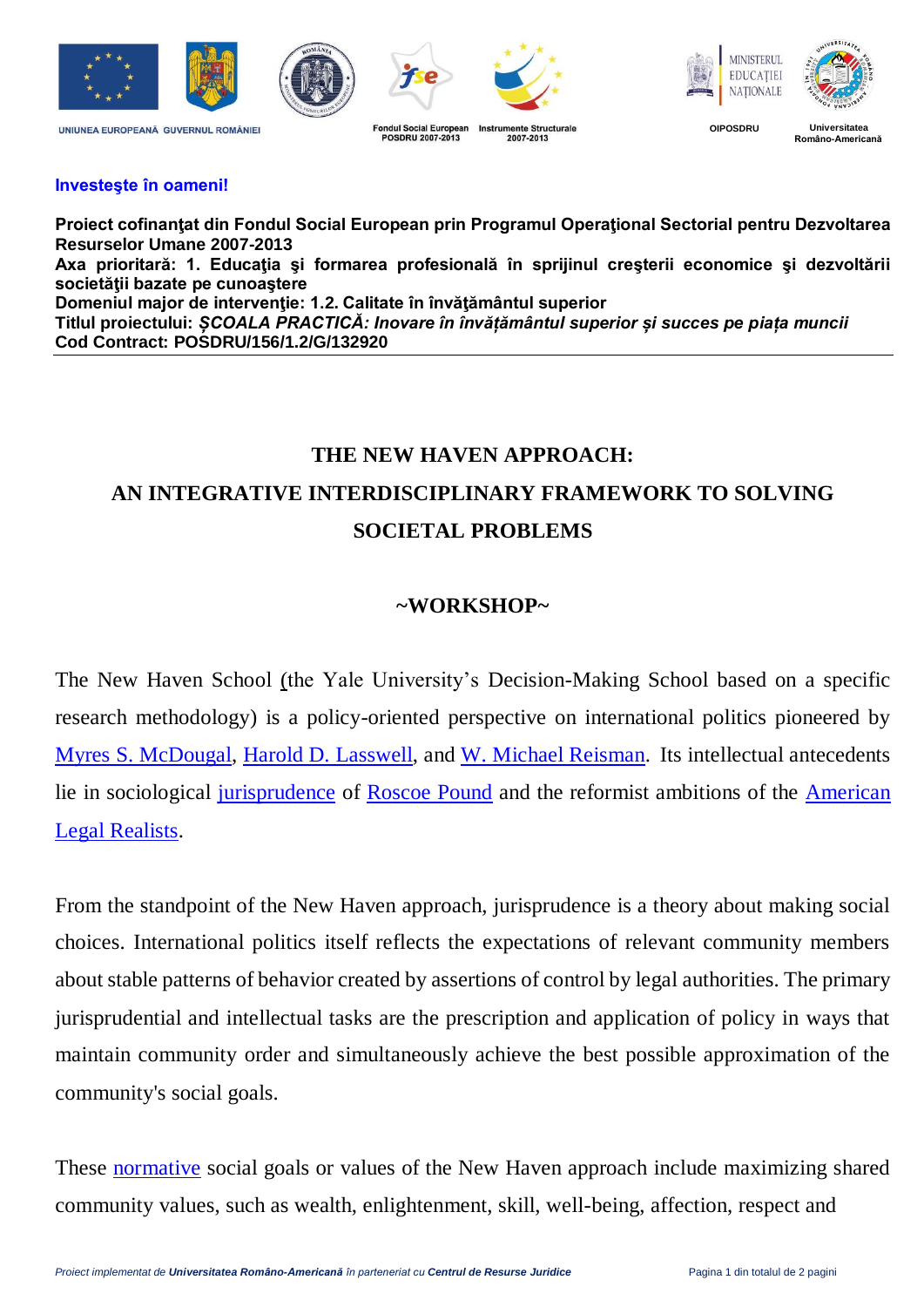

## **Investeşte în oameni!**

**Proiect cofinanţat din Fondul Social European prin Programul Operaţional Sectorial pentru Dezvoltarea Resurselor Umane 2007-2013** Axa prioritară: 1. Educația și formarea profesională în sprijinul creșterii economice și dezvoltării **societăţii bazate pe cunoaştere Domeniul major de intervenţie: 1.2. Calitate în învăţământul superior Titlul proiectului:** *ȘCOALA PRACTICĂ: Inovare în învățământul superior și succes pe piața muncii* **Cod Contract: POSDRU/156/1.2/G/132920**

## **THE NEW HAVEN APPROACH: AN INTEGRATIVE INTERDISCIPLINARY FRAMEWORK TO SOLVING SOCIETAL PROBLEMS**

## **~WORKSHOP~**

The New Haven School (the Yale University's Decision-Making School based on a specific research methodology) is a policy-oriented perspective on international politics pioneered by [Myres S. McDougal,](http://en.wikipedia.org/wiki/Myres_S._McDougal) [Harold D. Lasswell,](http://en.wikipedia.org/wiki/Harold_Lasswell) and [W. Michael Reisman.](http://www.law.yale.edu/faculty/WReisman.htm) Its intellectual antecedents lie in sociological [jurisprudence](http://en.wikipedia.org/wiki/Jurisprudence) of [Roscoe Pound](http://en.wikipedia.org/wiki/Roscoe_Pound) and the reformist ambitions of the [American](http://en.wikipedia.org/wiki/Legal_realism)  [Legal Realists.](http://en.wikipedia.org/wiki/Legal_realism)

From the standpoint of the New Haven approach, jurisprudence is a theory about making social choices. International politics itself reflects the expectations of relevant community members about stable patterns of behavior created by assertions of control by legal authorities. The primary jurisprudential and intellectual tasks are the prescription and application of policy in ways that maintain community order and simultaneously achieve the best possible approximation of the community's social goals.

These [normative](http://en.wikipedia.org/wiki/Norm_(sociology)) social goals or values of the New Haven approach include maximizing shared community values, such as wealth, enlightenment, skill, well-being, affection, respect and